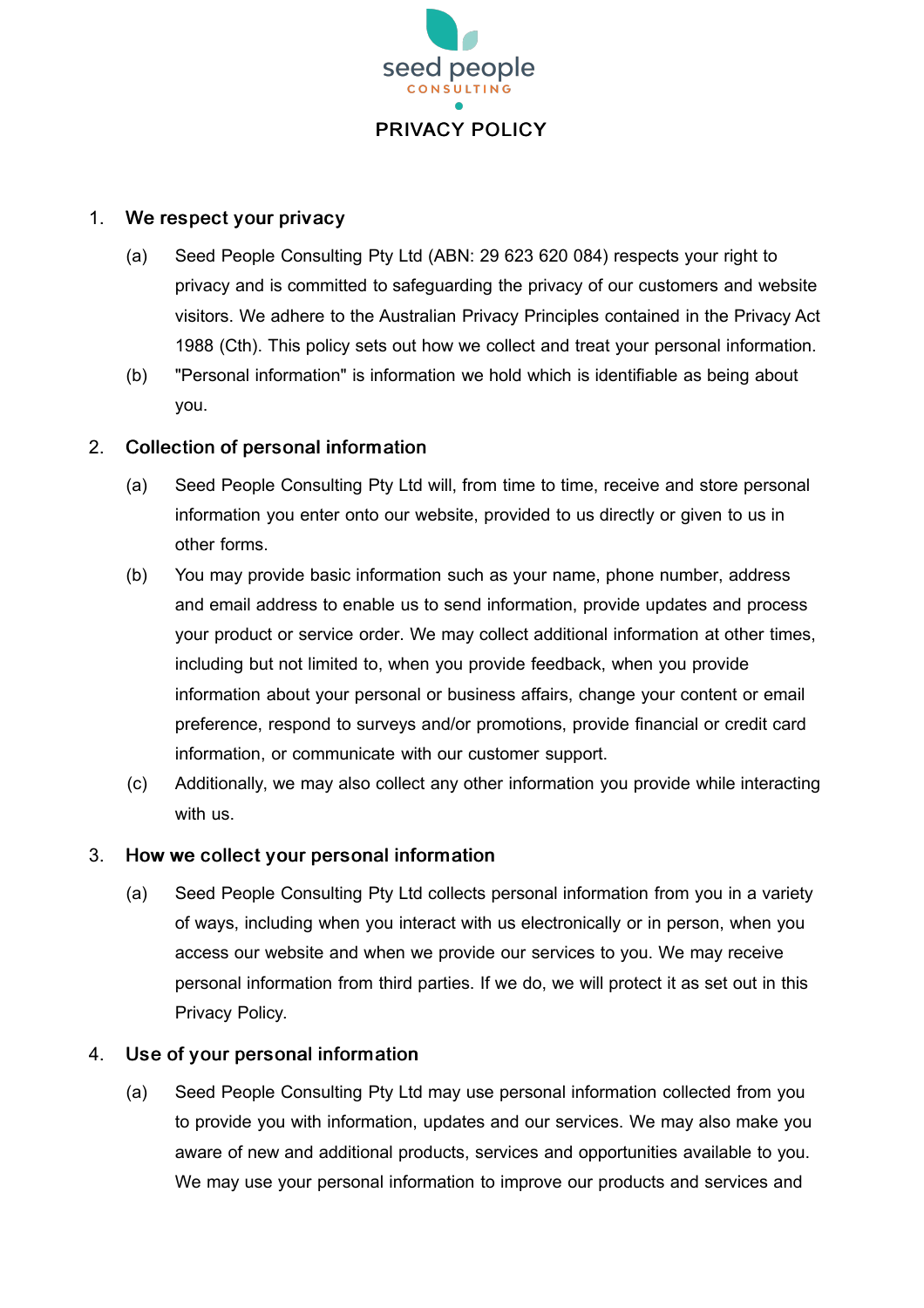

#### 1. We respect your privacy

- (a) Seed People Consulting Pty Ltd (ABN: 29 623 620 084) respects your right to privacy and is committed to safeguarding the privacy of our customers and website visitors. We adhere to the Australian Privacy Principles contained in the Privacy Act 1988 (Cth). This policy sets out how we collect and treat your personal information.
- (b) "Personal information" is information we hold which is identifiable as being about you.

# 2. Collection of personal information

- (a) Seed People Consulting Pty Ltd will, from time to time, receive and store personal information you enter onto our website, provided to us directly or given to us in other forms.
- (b) You may provide basic information such as your name, phone number, address and email address to enable us to send information, provide updates and process your product or service order. We may collect additional information at other times, including but not limited to, when you provide feedback, when you provide information about your personal or business affairs, change your content or email preference, respond to surveys and/or promotions, provide financial or credit card information, or communicate with our customer support.
- (c) Additionally, we may also collect any other information you provide while interacting with us.

## 3. How we collect your personal information

(a) Seed People Consulting Pty Ltd collects personal information from you in a variety of ways, including when you interact with us electronically or in person, when you access our website and when we provide our services to you. We may receive personal information from third parties. If we do, we will protect it as set out in this Privacy Policy.

## 4. Use of your personal information

(a) Seed People Consulting Pty Ltd may use personal information collected from you to provide you with information, updates and our services. We may also make you aware of new and additional products, services and opportunities available to you. We may use your personal information to improve our products and services and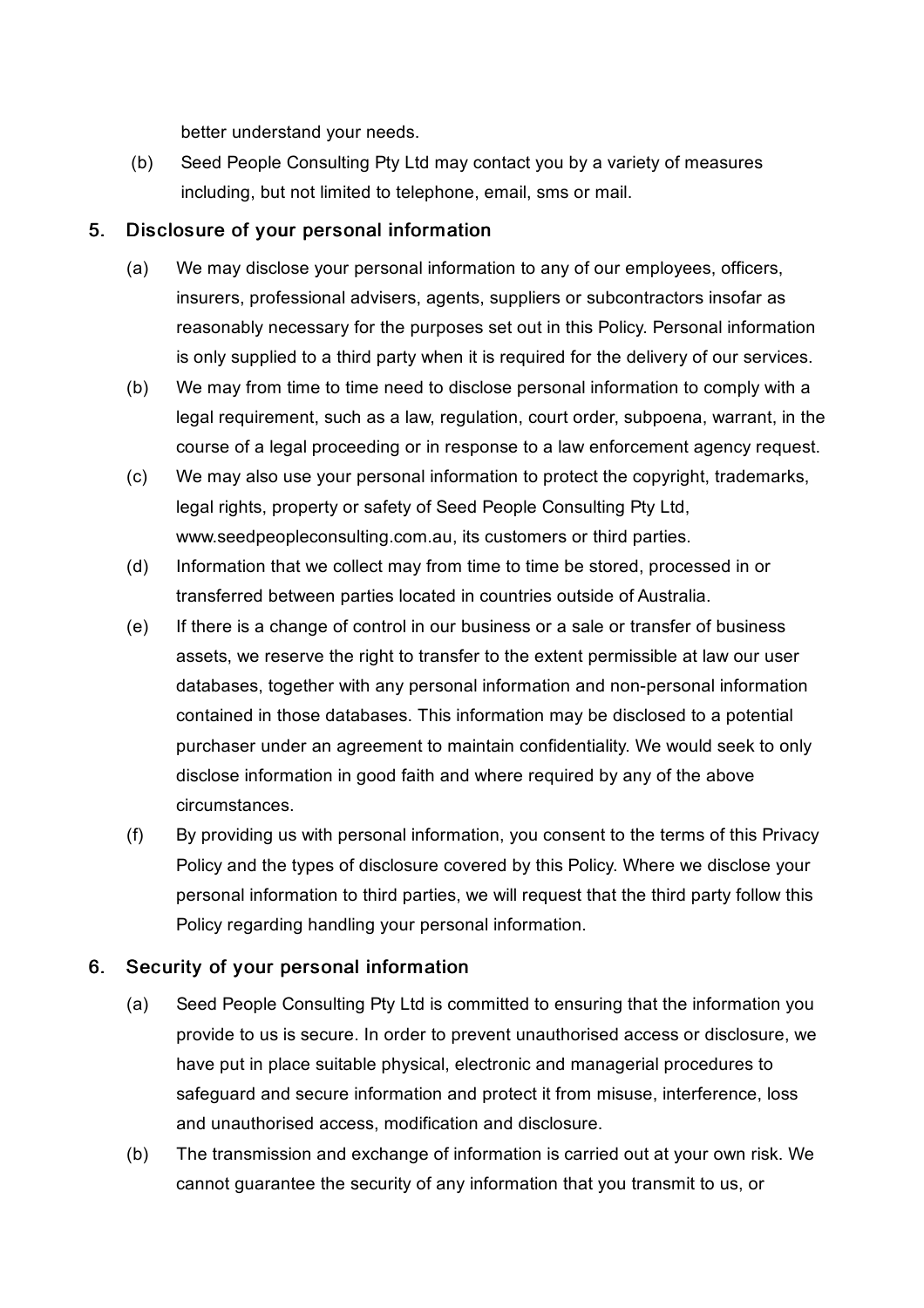better understand your needs.

(b) Seed People Consulting Pty Ltd may contact you by a variety of measures including, but not limited to telephone, email, sms or mail.

# 5. Disclosure of your personal information

- (a) We may disclose your personal information to any of our employees, officers, insurers, professional advisers, agents, suppliers or subcontractors insofar as reasonably necessary for the purposes set out in this Policy. Personal information is only supplied to a third party when it is required for the delivery of our services.
- (b) We may from time to time need to disclose personal information to comply with a legal requirement, such as a law, regulation, court order, subpoena, warrant, in the course of a legal proceeding or in response to a law enforcement agency request.
- (c) We may also use your personal information to protect the copyright, trademarks, legal rights, property or safety of Seed People Consulting Pty Ltd, www.seedpeopleconsulting.com.au, its customers or third parties.
- (d) Information that we collect may from time to time be stored, processed in or transferred between parties located in countries outside of Australia.
- (e) If there is a change of control in our business or a sale or transfer of business assets, we reserve the right to transfer to the extent permissible at law our user databases, together with any personal information and non-personal information contained in those databases. This information may be disclosed to a potential purchaser under an agreement to maintain confidentiality. We would seek to only disclose information in good faith and where required by any of the above circumstances.
- (f) By providing us with personal information, you consent to the terms of this Privacy Policy and the types of disclosure covered by this Policy. Where we disclose your personal information to third parties, we will request that the third party follow this Policy regarding handling your personal information.

# 6. Security of your personal information

- (a) Seed People Consulting Pty Ltd is committed to ensuring that the information you provide to us is secure. In order to prevent unauthorised access or disclosure, we have put in place suitable physical, electronic and managerial procedures to safeguard and secure information and protect it from misuse, interference, loss and unauthorised access, modification and disclosure.
- (b) The transmission and exchange of information is carried out at your own risk. We cannot guarantee the security of any information that you transmit to us, or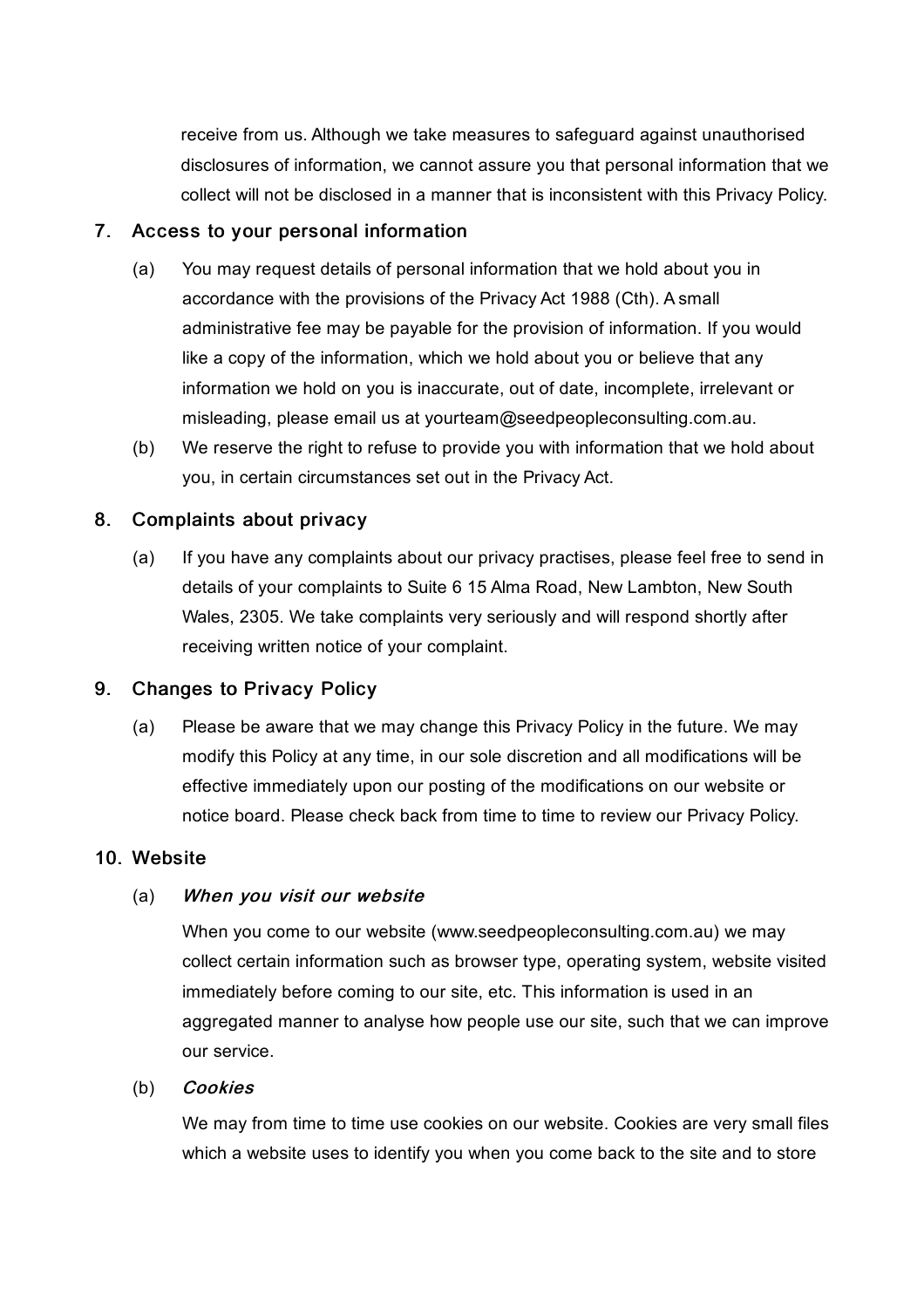receive from us. Although we take measures to safeguard against unauthorised disclosures of information, we cannot assure you that personal information that we collect will not be disclosed in a manner that is inconsistent with this Privacy Policy.

#### 7. Access to your personal information

- (a) You may request details of personal information that we hold about you in accordance with the provisions of the Privacy Act 1988 (Cth). A small administrative fee may be payable for the provision of information. If you would like a copy of the information, which we hold about you or believe that any information we hold on you is inaccurate, out of date, incomplete, irrelevant or misleading, please email us at yourteam@seedpeopleconsulting.com.au.
- (b) We reserve the right to refuse to provide you with information that we hold about you, in certain circumstances set out in the Privacy Act.

## 8. Complaints about privacy

(a) If you have any complaints about our privacy practises, please feel free to send in details of your complaints to Suite 6 15 Alma Road, New Lambton, New South Wales, 2305. We take complaints very seriously and will respond shortly after receiving written notice of your complaint.

## 9. Changes to Privacy Policy

(a) Please be aware that we may change this Privacy Policy in the future. We may modify this Policy at any time, in our sole discretion and all modifications will be effective immediately upon our posting of the modifications on our website or notice board. Please check back from time to time to review our Privacy Policy.

#### 10. Website

#### (a) When you visit our website

When you come to our website (www.seedpeopleconsulting.com.au) we may collect certain information such as browser type, operating system, website visited immediately before coming to our site, etc. This information is used in an aggregated manner to analyse how people use our site, such that we can improve our service.

#### (b) Cookies

We may from time to time use cookies on our website. Cookies are very small files which a website uses to identify you when you come back to the site and to store